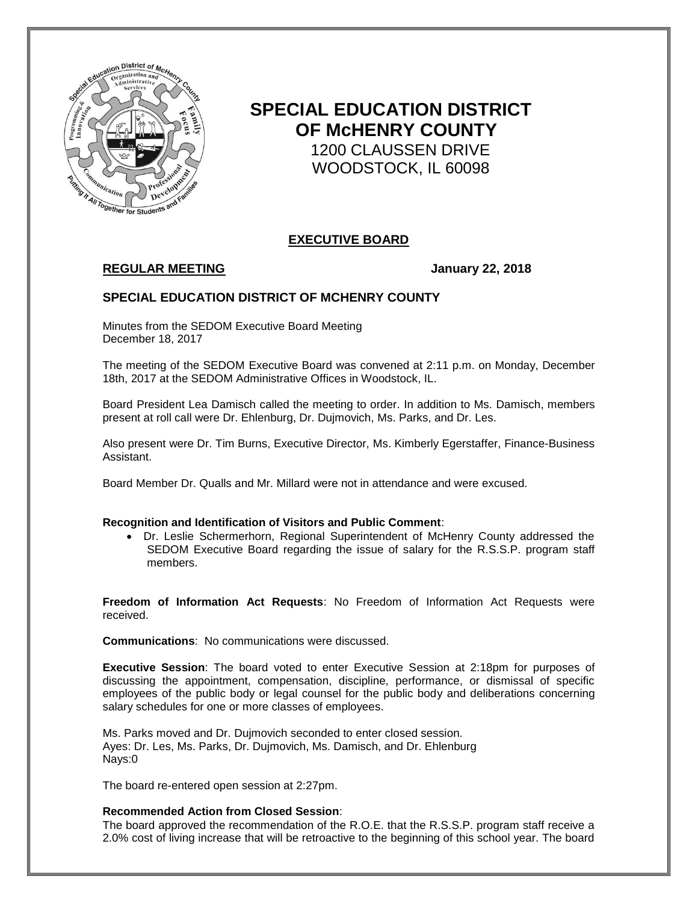

# **SPECIAL EDUCATION DISTRICT OF McHENRY COUNTY** 1200 CLAUSSEN DRIVE WOODSTOCK, IL 60098

# **EXECUTIVE BOARD**

# **REGULAR MEETING January 22, 2018**

## **SPECIAL EDUCATION DISTRICT OF MCHENRY COUNTY**

Minutes from the SEDOM Executive Board Meeting December 18, 2017

The meeting of the SEDOM Executive Board was convened at 2:11 p.m. on Monday, December 18th, 2017 at the SEDOM Administrative Offices in Woodstock, IL.

Board President Lea Damisch called the meeting to order. In addition to Ms. Damisch, members present at roll call were Dr. Ehlenburg, Dr. Dujmovich, Ms. Parks, and Dr. Les.

Also present were Dr. Tim Burns, Executive Director, Ms. Kimberly Egerstaffer, Finance-Business Assistant.

Board Member Dr. Qualls and Mr. Millard were not in attendance and were excused.

#### **Recognition and Identification of Visitors and Public Comment**:

 Dr. Leslie Schermerhorn, Regional Superintendent of McHenry County addressed the SEDOM Executive Board regarding the issue of salary for the R.S.S.P. program staff members.

**Freedom of Information Act Requests**: No Freedom of Information Act Requests were received.

**Communications**: No communications were discussed.

**Executive Session**: The board voted to enter Executive Session at 2:18pm for purposes of discussing the appointment, compensation, discipline, performance, or dismissal of specific employees of the public body or legal counsel for the public body and deliberations concerning salary schedules for one or more classes of employees.

Ms. Parks moved and Dr. Dujmovich seconded to enter closed session. Ayes: Dr. Les, Ms. Parks, Dr. Dujmovich, Ms. Damisch, and Dr. Ehlenburg Nays:0

The board re-entered open session at 2:27pm.

#### **Recommended Action from Closed Session**:

The board approved the recommendation of the R.O.E. that the R.S.S.P. program staff receive a 2.0% cost of living increase that will be retroactive to the beginning of this school year. The board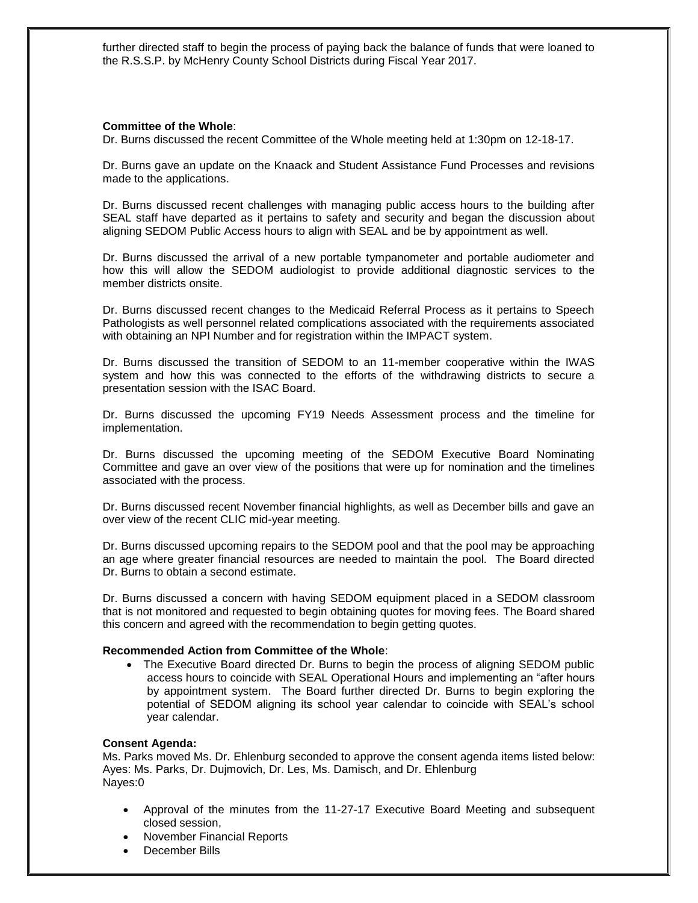further directed staff to begin the process of paying back the balance of funds that were loaned to the R.S.S.P. by McHenry County School Districts during Fiscal Year 2017.

#### **Committee of the Whole**:

Dr. Burns discussed the recent Committee of the Whole meeting held at 1:30pm on 12-18-17.

Dr. Burns gave an update on the Knaack and Student Assistance Fund Processes and revisions made to the applications.

Dr. Burns discussed recent challenges with managing public access hours to the building after SEAL staff have departed as it pertains to safety and security and began the discussion about aligning SEDOM Public Access hours to align with SEAL and be by appointment as well.

Dr. Burns discussed the arrival of a new portable tympanometer and portable audiometer and how this will allow the SEDOM audiologist to provide additional diagnostic services to the member districts onsite.

Dr. Burns discussed recent changes to the Medicaid Referral Process as it pertains to Speech Pathologists as well personnel related complications associated with the requirements associated with obtaining an NPI Number and for registration within the IMPACT system.

Dr. Burns discussed the transition of SEDOM to an 11-member cooperative within the IWAS system and how this was connected to the efforts of the withdrawing districts to secure a presentation session with the ISAC Board.

Dr. Burns discussed the upcoming FY19 Needs Assessment process and the timeline for implementation.

Dr. Burns discussed the upcoming meeting of the SEDOM Executive Board Nominating Committee and gave an over view of the positions that were up for nomination and the timelines associated with the process.

Dr. Burns discussed recent November financial highlights, as well as December bills and gave an over view of the recent CLIC mid-year meeting.

Dr. Burns discussed upcoming repairs to the SEDOM pool and that the pool may be approaching an age where greater financial resources are needed to maintain the pool. The Board directed Dr. Burns to obtain a second estimate.

Dr. Burns discussed a concern with having SEDOM equipment placed in a SEDOM classroom that is not monitored and requested to begin obtaining quotes for moving fees. The Board shared this concern and agreed with the recommendation to begin getting quotes.

#### **Recommended Action from Committee of the Whole**:

• The Executive Board directed Dr. Burns to begin the process of aligning SEDOM public access hours to coincide with SEAL Operational Hours and implementing an "after hours by appointment system. The Board further directed Dr. Burns to begin exploring the potential of SEDOM aligning its school year calendar to coincide with SEAL's school year calendar.

#### **Consent Agenda:**

Ms. Parks moved Ms. Dr. Ehlenburg seconded to approve the consent agenda items listed below: Ayes: Ms. Parks, Dr. Dujmovich, Dr. Les, Ms. Damisch, and Dr. Ehlenburg Nayes:0

- Approval of the minutes from the 11-27-17 Executive Board Meeting and subsequent closed session,
- November Financial Reports
- December Bills